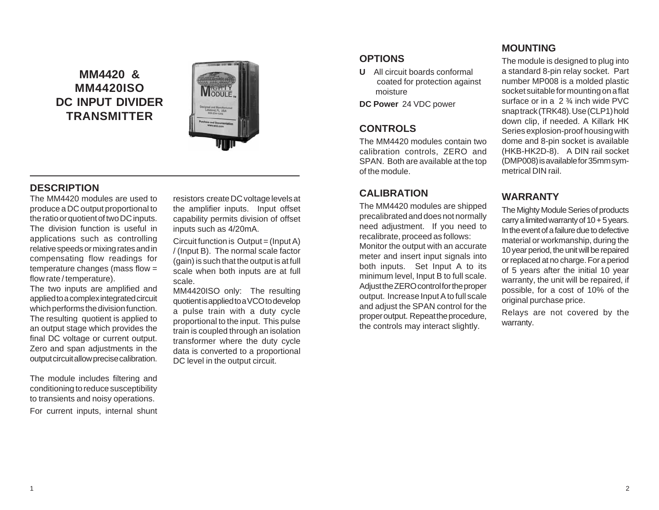# **MM4420 & MM4420ISO DC INPUT DIVIDER TRANSMITTER**



### **DESCRIPTION**

The MM4420 modules are used to produce a DC output proportional to the ratio or quotient of two DC inputs. The division function is useful in applications such as controlling relative speeds or mixing rates and in compensating flow readings for temperature changes (mass flow = flow rate / temperature).

The two inputs are amplified and applied to a complex integrated circuit which performs the division function. The resulting quotient is applied to an output stage which provides the final DC voltage or current output. Zero and span adjustments in the output circuit allow precise calibration.

The module includes filtering and conditioning to reduce susceptibility to transients and noisy operations. For current inputs, internal shunt

resistors create DC voltage levels at the amplifier inputs. Input offset capability permits division of offset inputs such as 4/20mA.

Circuit function is Output = (Input A) / (Input B). The normal scale factor (gain) is such that the output is at full scale when both inputs are at full scale.

MM4420ISO only: The resulting quotient is applied to a VCO to develop a pulse train with a duty cycle proportional to the input. This pulse train is coupled through an isolation transformer where the duty cycle data is converted to a proportional DC level in the output circuit.

### **OPTIONS**

**U** All circuit boards conformal coated for protection against moisture

**DC Power** 24 VDC power

## **CONTROLS**

The MM4420 modules contain two calibration controls, ZERO and SPAN. Both are available at the top of the module.

### **CALIBRATION**

The MM4420 modules are shipped precalibrated and does not normally need adjustment. If you need to recalibrate, proceed as follows: Monitor the output with an accurate meter and insert input signals into both inputs. Set Input A to its minimum level, Input B to full scale. Adjust the ZERO control for the proper output. Increase Input A to full scale and adjust the SPAN control for the proper output. Repeat the procedure, the controls may interact slightly.

## **MOUNTING**

The module is designed to plug into a standard 8-pin relay socket. Part number MP008 is a molded plastic socket suitable for mounting on a flat surface or in a 2 ¾ inch wide PVC snap track (TRK48). Use (CLP1) hold down clip, if needed. A Killark HK Series explosion-proof housing with dome and 8-pin socket is available (HKB-HK2D-8). A DIN rail socket (DMP008) is available for 35mm symmetrical DIN rail.

## **WARRANTY**

The Mighty Module Series of products carry a limited warranty of  $10 + 5$  years. In the event of a failure due to defective material or workmanship, during the 10 year period, the unit will be repaired or replaced at no charge. For a period of 5 years after the initial 10 year warranty, the unit will be repaired, if possible, for a cost of 10% of the original purchase price.

Relays are not covered by the warranty.